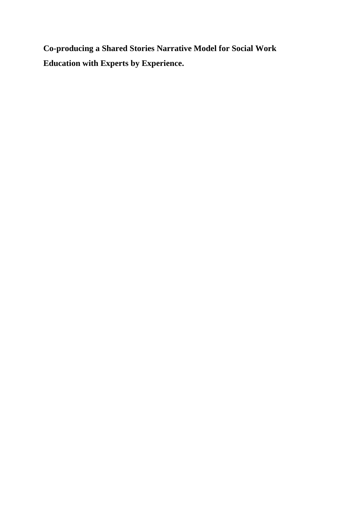**Co-producing a Shared Stories Narrative Model for Social Work Education with Experts by Experience.**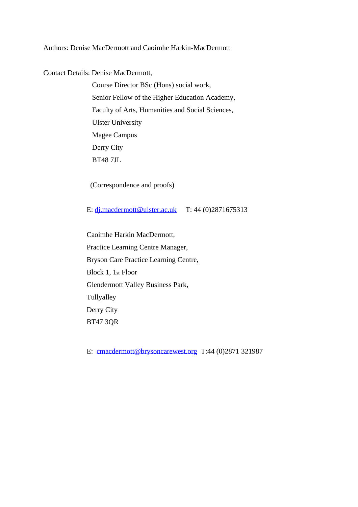Authors: Denise MacDermott and Caoimhe Harkin-MacDermott

Contact Details: Denise MacDermott,

 Course Director BSc (Hons) social work, Senior Fellow of the Higher Education Academy, Faculty of Arts, Humanities and Social Sciences, Ulster University Magee Campus Derry City BT48 7JL

(Correspondence and proofs)

E: [dj.macdermott@ulster.ac.uk](mailto:dj.macdermott@ulster.ac.uk) T: 44 (0)2871675313

Caoimhe Harkin MacDermott, Practice Learning Centre Manager, Bryson Care Practice Learning Centre, Block 1, 1st Floor Glendermott Valley Business Park, Tullyalley Derry City BT47 3QR

E: [cmacdermott@brysoncarewest.org](mailto:cmacdermott@brysoncarewest.org) T:44 (0)2871 321987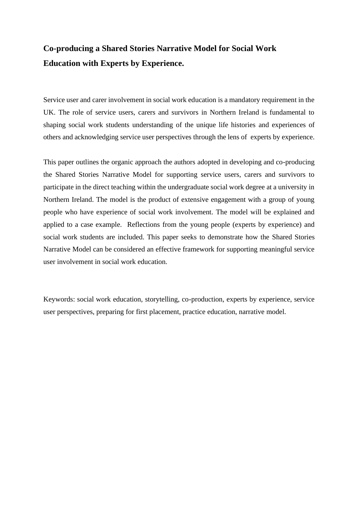# **Co-producing a Shared Stories Narrative Model for Social Work Education with Experts by Experience.**

Service user and carer involvement in social work education is a mandatory requirement in the UK. The role of service users, carers and survivors in Northern Ireland is fundamental to shaping social work students understanding of the unique life histories and experiences of others and acknowledging service user perspectives through the lens of experts by experience.

This paper outlines the organic approach the authors adopted in developing and co-producing the Shared Stories Narrative Model for supporting service users, carers and survivors to participate in the direct teaching within the undergraduate social work degree at a university in Northern Ireland. The model is the product of extensive engagement with a group of young people who have experience of social work involvement. The model will be explained and applied to a case example. Reflections from the young people (experts by experience) and social work students are included. This paper seeks to demonstrate how the Shared Stories Narrative Model can be considered an effective framework for supporting meaningful service user involvement in social work education.

Keywords: social work education, storytelling, co-production, experts by experience, service user perspectives, preparing for first placement, practice education, narrative model.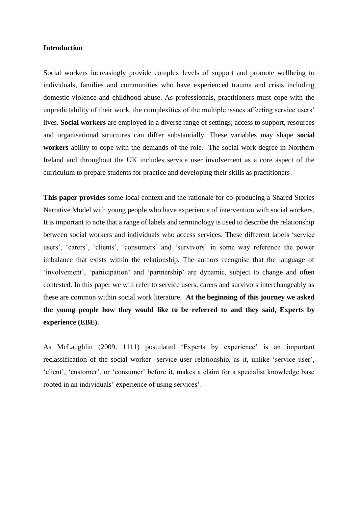#### **Introduction**

Social workers increasingly provide complex levels of support and promote wellbeing to individuals, families and communities who have experienced trauma and crisis including domestic violence and childhood abuse. As professionals, practitioners must cope with the unpredictability of their work, the complexities of the multiple issues affecting service users' lives. **Social workers** are employed in a diverse range of settings; access to support, resources and organisational structures can differ substantially. These variables may shape **social workers** ability to cope with the demands of the role. The social work degree in Northern Ireland and throughout the UK includes service user involvement as a core aspect of the curriculum to prepare students for practice and developing their skills as practitioners.

**This paper provides** some local context and the rationale for co-producing a Shared Stories Narrative Model with young people who have experience of intervention with social workers. It is important to note that a range of labels and terminology is used to describe the relationship between social workers and individuals who access services. These different labels 'service users', 'carers', 'clients', 'consumers' and 'survivors' in some way reference the power imbalance that exists within the relationship. The authors recognise that the language of 'involvement', 'participation' and 'partnership' are dynamic, subject to change and often contested. In this paper we will refer to service users, carers and survivors interchangeably as these are common within social work literature. **At the beginning of this journey we asked the young people how they would like to be referred to and they said, Experts by experience (EBE).**

As McLaughlin (2009, 1111) postulated 'Experts by experience' is an important reclassification of the social worker -service user relationship, as it, unlike 'service user', 'client', 'customer', or 'consumer' before it, makes a claim for a specialist knowledge base rooted in an individuals' experience of using services'.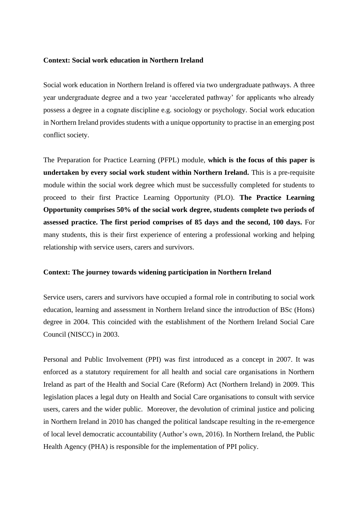#### **Context: Social work education in Northern Ireland**

Social work education in Northern Ireland is offered via two undergraduate pathways. A three year undergraduate degree and a two year 'accelerated pathway' for applicants who already possess a degree in a cognate discipline e.g. sociology or psychology. Social work education in Northern Ireland provides students with a unique opportunity to practise in an emerging post conflict society.

The Preparation for Practice Learning (PFPL) module, **which is the focus of this paper is undertaken by every social work student within Northern Ireland.** This is a pre-requisite module within the social work degree which must be successfully completed for students to proceed to their first Practice Learning Opportunity (PLO). **The Practice Learning Opportunity comprises 50% of the social work degree, students complete two periods of assessed practice. The first period comprises of 85 days and the second, 100 days.** For many students, this is their first experience of entering a professional working and helping relationship with service users, carers and survivors.

#### **Context: The journey towards widening participation in Northern Ireland**

Service users, carers and survivors have occupied a formal role in contributing to social work education, learning and assessment in Northern Ireland since the introduction of BSc (Hons) degree in 2004. This coincided with the establishment of the Northern Ireland Social Care Council (NISCC) in 2003.

Personal and Public Involvement (PPI) was first introduced as a concept in 2007. It was enforced as a statutory requirement for all health and social care organisations in Northern Ireland as part of the Health and Social Care (Reform) Act (Northern Ireland) in 2009. This legislation places a legal duty on Health and Social Care organisations to consult with service users, carers and the wider public. Moreover, the devolution of criminal justice and policing in Northern Ireland in 2010 has changed the political landscape resulting in the re-emergence of local level democratic accountability (Author's own, 2016). In Northern Ireland, the Public Health Agency (PHA) is responsible for the implementation of PPI policy.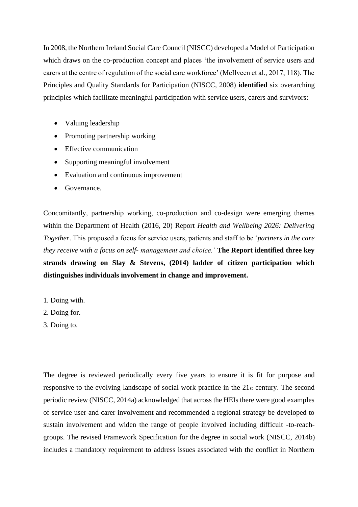In 2008, the Northern Ireland Social Care Council (NISCC) developed a Model of Participation which draws on the co-production concept and places 'the involvement of service users and carers at the centre of regulation of the social care workforce' (McIlveen et al., 2017, 118). The Principles and Quality Standards for Participation (NISCC, 2008) **identified** six overarching principles which facilitate meaningful participation with service users, carers and survivors:

- Valuing leadership
- Promoting partnership working
- Effective communication
- Supporting meaningful involvement
- Evaluation and continuous improvement
- Governance.

Concomitantly, partnership working, co-production and co-design were emerging themes within the Department of Health (2016, 20) Report *Health and Wellbeing 2026: Delivering Together*. This proposed a focus for service users, patients and staff to be '*partners in the care they receive with a focus on self- management and choice.'* **The Report identified three key strands drawing on Slay & Stevens, (2014) ladder of citizen participation which distinguishes individuals involvement in change and improvement.**

- 1. Doing with.
- 2. Doing for.
- 3. Doing to.

The degree is reviewed periodically every five years to ensure it is fit for purpose and responsive to the evolving landscape of social work practice in the 21st century. The second periodic review (NISCC, 2014a) acknowledged that across the HEIs there were good examples of service user and carer involvement and recommended a regional strategy be developed to sustain involvement and widen the range of people involved including difficult -to-reachgroups. The revised Framework Specification for the degree in social work (NISCC, 2014b) includes a mandatory requirement to address issues associated with the conflict in Northern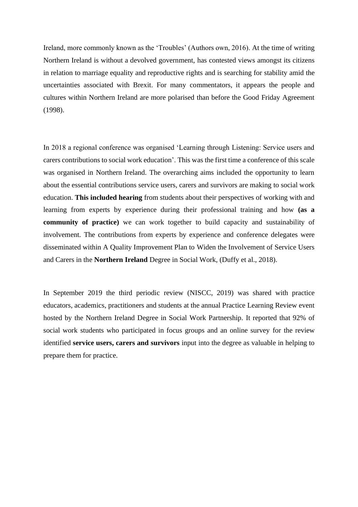Ireland, more commonly known as the 'Troubles' (Authors own, 2016). At the time of writing Northern Ireland is without a devolved government, has contested views amongst its citizens in relation to marriage equality and reproductive rights and is searching for stability amid the uncertainties associated with Brexit. For many commentators, it appears the people and cultures within Northern Ireland are more polarised than before the Good Friday Agreement (1998).

In 2018 a regional conference was organised 'Learning through Listening: Service users and carers contributions to social work education'. This was the first time a conference of this scale was organised in Northern Ireland. The overarching aims included the opportunity to learn about the essential contributions service users, carers and survivors are making to social work education. **This included hearing** from students about their perspectives of working with and learning from experts by experience during their professional training and how **(as a community of practice)** we can work together to build capacity and sustainability of involvement. The contributions from experts by experience and conference delegates were disseminated within A Quality Improvement Plan to Widen the Involvement of Service Users and Carers in the **Northern Ireland** Degree in Social Work, (Duffy et al., 2018).

In September 2019 the third periodic review (NISCC, 2019) was shared with practice educators, academics, practitioners and students at the annual Practice Learning Review event hosted by the Northern Ireland Degree in Social Work Partnership. It reported that 92% of social work students who participated in focus groups and an online survey for the review identified **service users, carers and survivors** input into the degree as valuable in helping to prepare them for practice.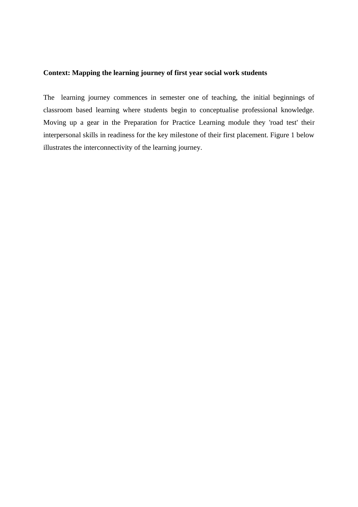# **Context: Mapping the learning journey of first year social work students**

The learning journey commences in semester one of teaching, the initial beginnings of classroom based learning where students begin to conceptualise professional knowledge. Moving up a gear in the Preparation for Practice Learning module they 'road test' their interpersonal skills in readiness for the key milestone of their first placement. Figure 1 below illustrates the interconnectivity of the learning journey.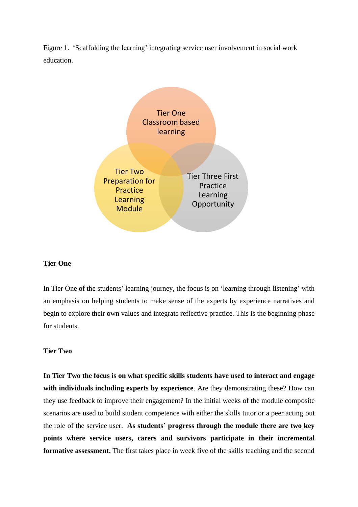Figure 1. 'Scaffolding the learning' integrating service user involvement in social work education.



## **Tier One**

In Tier One of the students' learning journey, the focus is on 'learning through listening' with an emphasis on helping students to make sense of the experts by experience narratives and begin to explore their own values and integrate reflective practice. This is the beginning phase for students.

## **Tier Two**

**In Tier Two the focus is on what specific skills students have used to interact and engage with individuals including experts by experience**. Are they demonstrating these? How can they use feedback to improve their engagement? In the initial weeks of the module composite scenarios are used to build student competence with either the skills tutor or a peer acting out the role of the service user. **As students' progress through the module there are two key points where service users, carers and survivors participate in their incremental formative assessment.** The first takes place in week five of the skills teaching and the second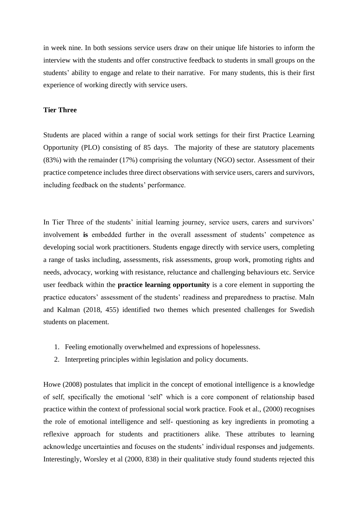in week nine. In both sessions service users draw on their unique life histories to inform the interview with the students and offer constructive feedback to students in small groups on the students' ability to engage and relate to their narrative. For many students, this is their first experience of working directly with service users.

## **Tier Three**

Students are placed within a range of social work settings for their first Practice Learning Opportunity (PLO) consisting of 85 days. The majority of these are statutory placements (83%) with the remainder (17%) comprising the voluntary (NGO) sector. Assessment of their practice competence includes three direct observations with service users, carers and survivors, including feedback on the students' performance.

In Tier Three of the students' initial learning journey, service users, carers and survivors' involvement **is** embedded further in the overall assessment of students' competence as developing social work practitioners. Students engage directly with service users, completing a range of tasks including, assessments, risk assessments, group work, promoting rights and needs, advocacy, working with resistance, reluctance and challenging behaviours etc. Service user feedback within the **practice learning opportunity** is a core element in supporting the practice educators' assessment of the students' readiness and preparedness to practise. Maln and Kalman (2018, 455) identified two themes which presented challenges for Swedish students on placement.

- 1. Feeling emotionally overwhelmed and expressions of hopelessness.
- 2. Interpreting principles within legislation and policy documents.

Howe (2008) postulates that implicit in the concept of emotional intelligence is a knowledge of self, specifically the emotional 'self' which is a core component of relationship based practice within the context of professional social work practice. Fook et al., (2000) recognises the role of emotional intelligence and self- questioning as key ingredients in promoting a reflexive approach for students and practitioners alike. These attributes to learning acknowledge uncertainties and focuses on the students' individual responses and judgements. Interestingly, Worsley et al (2000, 838) in their qualitative study found students rejected this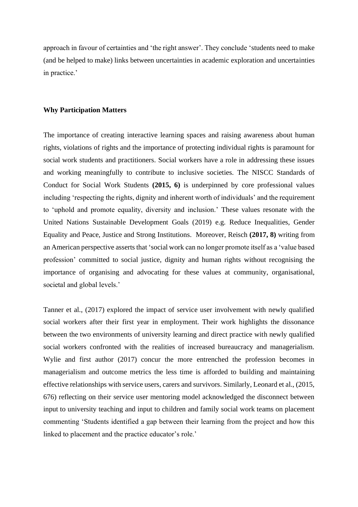approach in favour of certainties and 'the right answer'. They conclude 'students need to make (and be helped to make) links between uncertainties in academic exploration and uncertainties in practice.'

#### **Why Participation Matters**

The importance of creating interactive learning spaces and raising awareness about human rights, violations of rights and the importance of protecting individual rights is paramount for social work students and practitioners. Social workers have a role in addressing these issues and working meaningfully to contribute to inclusive societies. The NISCC Standards of Conduct for Social Work Students **(2015, 6)** is underpinned by core professional values including 'respecting the rights, dignity and inherent worth of individuals' and the requirement to 'uphold and promote equality, diversity and inclusion.' These values resonate with the United Nations Sustainable Development Goals (2019) e.g. Reduce Inequalities, Gender Equality and Peace, Justice and Strong Institutions. Moreover, Reisch **(2017, 8)** writing from an American perspective asserts that 'social work can no longer promote itself as a 'value based profession' committed to social justice, dignity and human rights without recognising the importance of organising and advocating for these values at community, organisational, societal and global levels.'

Tanner et al., (2017) explored the impact of service user involvement with newly qualified social workers after their first year in employment. Their work highlights the dissonance between the two environments of university learning and direct practice with newly qualified social workers confronted with the realities of increased bureaucracy and managerialism. Wylie and first author (2017) concur the more entrenched the profession becomes in managerialism and outcome metrics the less time is afforded to building and maintaining effective relationships with service users, carers and survivors. Similarly, Leonard et al., (2015, 676) reflecting on their service user mentoring model acknowledged the disconnect between input to university teaching and input to children and family social work teams on placement commenting 'Students identified a gap between their learning from the project and how this linked to placement and the practice educator's role.'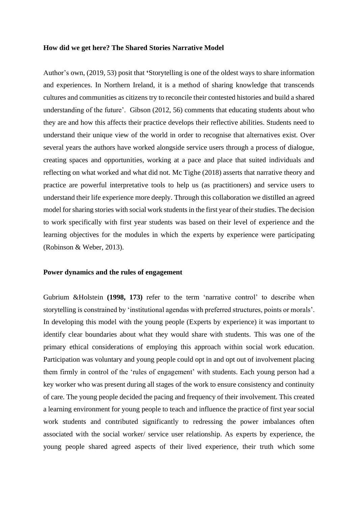#### **How did we get here? The Shared Stories Narrative Model**

Author's own, (2019, 53) posit that **'**Storytelling is one of the oldest ways to share information and experiences. In Northern Ireland, it is a method of sharing knowledge that transcends cultures and communities as citizens try to reconcile their contested histories and build a shared understanding of the future'. Gibson (2012, 56) comments that educating students about who they are and how this affects their practice develops their reflective abilities. Students need to understand their unique view of the world in order to recognise that alternatives exist. Over several years the authors have worked alongside service users through a process of dialogue, creating spaces and opportunities, working at a pace and place that suited individuals and reflecting on what worked and what did not. Mc Tighe (2018) asserts that narrative theory and practice are powerful interpretative tools to help us (as practitioners) and service users to understand their life experience more deeply. Through this collaboration we distilled an agreed model for sharing stories with social work students in the first year of their studies. The decision to work specifically with first year students was based on their level of experience and the learning objectives for the modules in which the experts by experience were participating (Robinson & Weber, 2013).

#### **Power dynamics and the rules of engagement**

Gubrium &Holstein **(1998, 173)** refer to the term 'narrative control' to describe when storytelling is constrained by 'institutional agendas with preferred structures, points or morals'. In developing this model with the young people (Experts by experience) it was important to identify clear boundaries about what they would share with students. This was one of the primary ethical considerations of employing this approach within social work education. Participation was voluntary and young people could opt in and opt out of involvement placing them firmly in control of the 'rules of engagement' with students. Each young person had a key worker who was present during all stages of the work to ensure consistency and continuity of care. The young people decided the pacing and frequency of their involvement. This created a learning environment for young people to teach and influence the practice of first year social work students and contributed significantly to redressing the power imbalances often associated with the social worker/ service user relationship. As experts by experience, the young people shared agreed aspects of their lived experience, their truth which some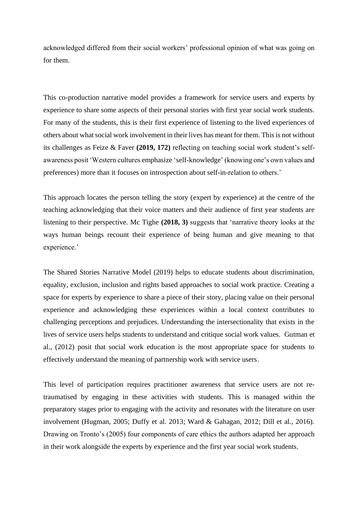acknowledged differed from their social workers' professional opinion of what was going on for them.

This co-production narrative model provides a framework for service users and experts by experience to share some aspects of their personal stories with first year social work students. For many of the students, this is their first experience of listening to the lived experiences of others about what social work involvement in their lives has meant for them. This is not without its challenges as Feize & Faver **(2019, 172)** reflecting on teaching social work student's selfawareness posit 'Western cultures emphasize 'self-knowledge' (knowing one's own values and preferences) more than it focuses on introspection about self-in-relation to others.'

This approach locates the person telling the story (expert by experience) at the centre of the teaching acknowledging that their voice matters and their audience of first year students are listening to their perspective. Mc Tighe **(2018, 3)** suggests that 'narrative theory looks at the ways human beings recount their experience of being human and give meaning to that experience.'

The Shared Stories Narrative Model (2019) helps to educate students about discrimination, equality, exclusion, inclusion and rights based approaches to social work practice. Creating a space for experts by experience to share a piece of their story, placing value on their personal experience and acknowledging these experiences within a local context contributes to challenging perceptions and prejudices. Understanding the intersectionality that exists in the lives of service users helps students to understand and critique social work values. Gutman et al., (2012) posit that social work education is the most appropriate space for students to effectively understand the meaning of partnership work with service users.

This level of participation requires practitioner awareness that service users are not retraumatised by engaging in these activities with students. This is managed within the preparatory stages prior to engaging with the activity and resonates with the literature on user involvement (Hugman, 2005; Duffy et al. 2013; Ward & Gahagan, 2012; Dill et al., 2016). Drawing on Tronto's (2005) four components of care ethics the authors adapted her approach in their work alongside the experts by experience and the first year social work students.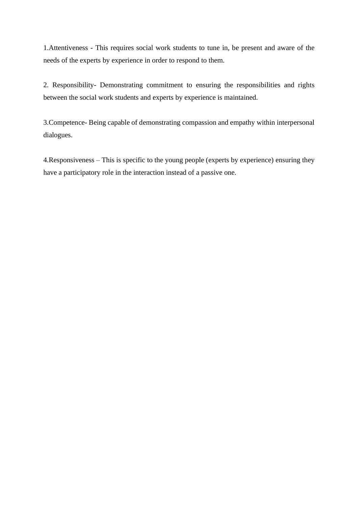1.Attentiveness - This requires social work students to tune in, be present and aware of the needs of the experts by experience in order to respond to them.

2. Responsibility- Demonstrating commitment to ensuring the responsibilities and rights between the social work students and experts by experience is maintained.

3.Competence- Being capable of demonstrating compassion and empathy within interpersonal dialogues.

4.Responsiveness – This is specific to the young people (experts by experience) ensuring they have a participatory role in the interaction instead of a passive one.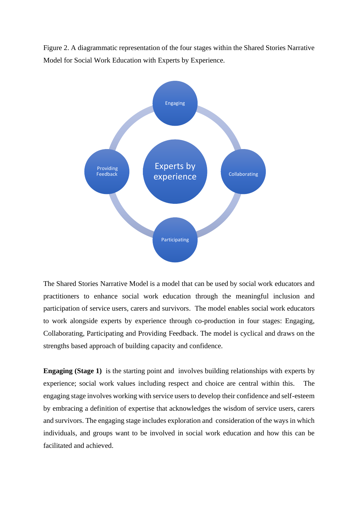Figure 2. A diagrammatic representation of the four stages within the Shared Stories Narrative Model for Social Work Education with Experts by Experience.



The Shared Stories Narrative Model is a model that can be used by social work educators and practitioners to enhance social work education through the meaningful inclusion and participation of service users, carers and survivors. The model enables social work educators to work alongside experts by experience through co-production in four stages: Engaging, Collaborating, Participating and Providing Feedback. The model is cyclical and draws on the strengths based approach of building capacity and confidence.

**Engaging (Stage 1)** is the starting point and involves building relationships with experts by experience; social work values including respect and choice are central within this. The engaging stage involves working with service users to develop their confidence and self-esteem by embracing a definition of expertise that acknowledges the wisdom of service users, carers and survivors. The engaging stage includes exploration and consideration of the ways in which individuals, and groups want to be involved in social work education and how this can be facilitated and achieved.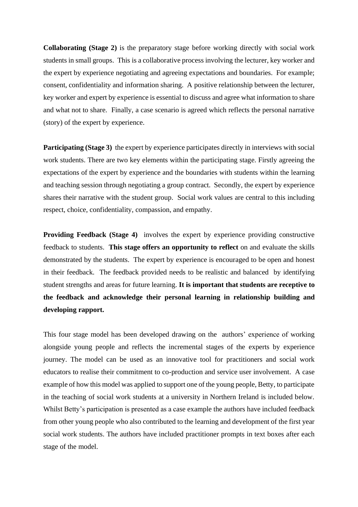**Collaborating (Stage 2)** is the preparatory stage before working directly with social work students in small groups. This is a collaborative process involving the lecturer, key worker and the expert by experience negotiating and agreeing expectations and boundaries. For example; consent, confidentiality and information sharing. A positive relationship between the lecturer, key worker and expert by experience is essential to discuss and agree what information to share and what not to share. Finally, a case scenario is agreed which reflects the personal narrative (story) of the expert by experience.

**Participating (Stage 3)** the expert by experience participates directly in interviews with social work students. There are two key elements within the participating stage. Firstly agreeing the expectations of the expert by experience and the boundaries with students within the learning and teaching session through negotiating a group contract. Secondly, the expert by experience shares their narrative with the student group. Social work values are central to this including respect, choice, confidentiality, compassion, and empathy.

**Providing Feedback (Stage 4)** involves the expert by experience providing constructive feedback to students. **This stage offers an opportunity to reflect** on and evaluate the skills demonstrated by the students. The expert by experience is encouraged to be open and honest in their feedback. The feedback provided needs to be realistic and balanced by identifying student strengths and areas for future learning. **It is important that students are receptive to the feedback and acknowledge their personal learning in relationship building and developing rapport.** 

This four stage model has been developed drawing on the authors' experience of working alongside young people and reflects the incremental stages of the experts by experience journey. The model can be used as an innovative tool for practitioners and social work educators to realise their commitment to co-production and service user involvement. A case example of how this model was applied to support one of the young people, Betty, to participate in the teaching of social work students at a university in Northern Ireland is included below. Whilst Betty's participation is presented as a case example the authors have included feedback from other young people who also contributed to the learning and development of the first year social work students. The authors have included practitioner prompts in text boxes after each stage of the model.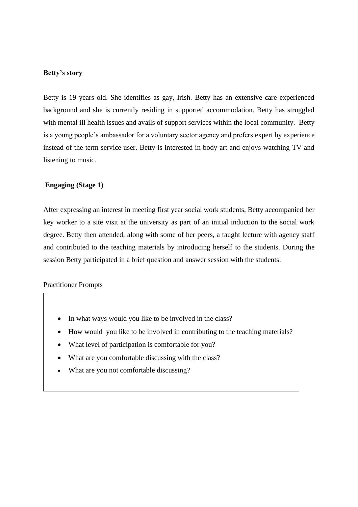## **Betty's story**

Betty is 19 years old. She identifies as gay, Irish. Betty has an extensive care experienced background and she is currently residing in supported accommodation. Betty has struggled with mental ill health issues and avails of support services within the local community. Betty is a young people's ambassador for a voluntary sector agency and prefers expert by experience instead of the term service user. Betty is interested in body art and enjoys watching TV and listening to music.

#### **Engaging (Stage 1)**

After expressing an interest in meeting first year social work students, Betty accompanied her key worker to a site visit at the university as part of an initial induction to the social work degree. Betty then attended, along with some of her peers, a taught lecture with agency staff and contributed to the teaching materials by introducing herself to the students. During the session Betty participated in a brief question and answer session with the students.

#### Practitioner Prompts

- In what ways would you like to be involved in the class?
- How would you like to be involved in contributing to the teaching materials?
- What level of participation is comfortable for you?
- What are you comfortable discussing with the class?
- What are you not comfortable discussing?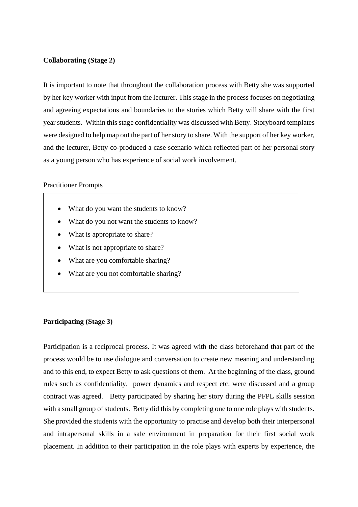## **Collaborating (Stage 2)**

It is important to note that throughout the collaboration process with Betty she was supported by her key worker with input from the lecturer. This stage in the process focuses on negotiating and agreeing expectations and boundaries to the stories which Betty will share with the first year students. Within this stage confidentiality was discussed with Betty. Storyboard templates were designed to help map out the part of her story to share. With the support of her key worker, and the lecturer, Betty co-produced a case scenario which reflected part of her personal story as a young person who has experience of social work involvement.

#### Practitioner Prompts

- What do you want the students to know?
- What do you not want the students to know?
- What is appropriate to share?
- What is not appropriate to share?
- What are you comfortable sharing?
- What are you not comfortable sharing?

## **Participating (Stage 3)**

Participation is a reciprocal process. It was agreed with the class beforehand that part of the process would be to use dialogue and conversation to create new meaning and understanding and to this end, to expect Betty to ask questions of them. At the beginning of the class, ground rules such as confidentiality, power dynamics and respect etc. were discussed and a group contract was agreed. Betty participated by sharing her story during the PFPL skills session with a small group of students. Betty did this by completing one to one role plays with students. She provided the students with the opportunity to practise and develop both their interpersonal and intrapersonal skills in a safe environment in preparation for their first social work placement. In addition to their participation in the role plays with experts by experience, the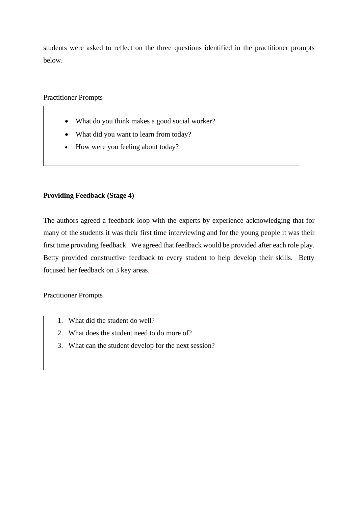students were asked to reflect on the three questions identified in the practitioner prompts below.

Practitioner Prompts

- What do you think makes a good social worker?
- What did you want to learn from today?
- How were you feeling about today?

# **Providing Feedback (Stage 4)**

The authors agreed a feedback loop with the experts by experience acknowledging that for many of the students it was their first time interviewing and for the young people it was their first time providing feedback. We agreed that feedback would be provided after each role play. Betty provided constructive feedback to every student to help develop their skills. Betty focused her feedback on 3 key areas.

Practitioner Prompts

- 1. What did the student do well?
- 2. What does the student need to do more of?
- 3. What can the student develop for the next session?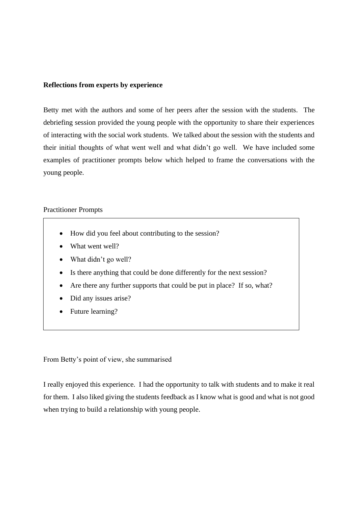## **Reflections from experts by experience**

Betty met with the authors and some of her peers after the session with the students. The debriefing session provided the young people with the opportunity to share their experiences of interacting with the social work students. We talked about the session with the students and their initial thoughts of what went well and what didn't go well. We have included some examples of practitioner prompts below which helped to frame the conversations with the young people.

#### Practitioner Prompts

- How did you feel about contributing to the session?
- What went well?
- What didn't go well?
- Is there anything that could be done differently for the next session?
- Are there any further supports that could be put in place? If so, what?
- Did any issues arise?
- Future learning?

From Betty's point of view, she summarised

I really enjoyed this experience. I had the opportunity to talk with students and to make it real for them. I also liked giving the students feedback as I know what is good and what is not good when trying to build a relationship with young people.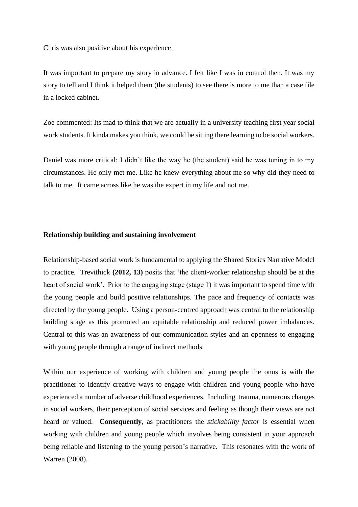Chris was also positive about his experience

It was important to prepare my story in advance. I felt like I was in control then. It was my story to tell and I think it helped them (the students) to see there is more to me than a case file in a locked cabinet.

Zoe commented: Its mad to think that we are actually in a university teaching first year social work students. It kinda makes you think, we could be sitting there learning to be social workers.

Daniel was more critical: I didn't like the way he (the student) said he was tuning in to my circumstances. He only met me. Like he knew everything about me so why did they need to talk to me. It came across like he was the expert in my life and not me.

#### **Relationship building and sustaining involvement**

Relationship-based social work is fundamental to applying the Shared Stories Narrative Model to practice. Trevithick **(2012, 13)** posits that 'the client-worker relationship should be at the heart of social work'. Prior to the engaging stage (stage 1) it was important to spend time with the young people and build positive relationships. The pace and frequency of contacts was directed by the young people. Using a person-centred approach was central to the relationship building stage as this promoted an equitable relationship and reduced power imbalances. Central to this was an awareness of our communication styles and an openness to engaging with young people through a range of indirect methods.

Within our experience of working with children and young people the onus is with the practitioner to identify creative ways to engage with children and young people who have experienced a number of adverse childhood experiences. Including trauma, numerous changes in social workers, their perception of social services and feeling as though their views are not heard or valued. **Consequently**, as practitioners the *stickability factor* is essential when working with children and young people which involves being consistent in your approach being reliable and listening to the young person's narrative. This resonates with the work of Warren (2008).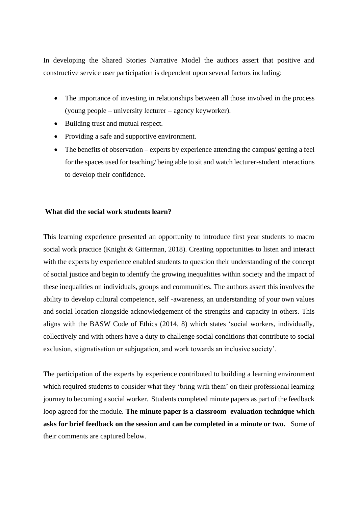In developing the Shared Stories Narrative Model the authors assert that positive and constructive service user participation is dependent upon several factors including:

- The importance of investing in relationships between all those involved in the process (young people – university lecturer – agency keyworker).
- Building trust and mutual respect.
- Providing a safe and supportive environment.
- The benefits of observation experts by experience attending the campus/ getting a feel for the spaces used for teaching/ being able to sit and watch lecturer-student interactions to develop their confidence.

#### **What did the social work students learn?**

This learning experience presented an opportunity to introduce first year students to macro social work practice (Knight & Gitterman, 2018). Creating opportunities to listen and interact with the experts by experience enabled students to question their understanding of the concept of social justice and begin to identify the growing inequalities within society and the impact of these inequalities on individuals, groups and communities. The authors assert this involves the ability to develop cultural competence, self -awareness, an understanding of your own values and social location alongside acknowledgement of the strengths and capacity in others. This aligns with the BASW Code of Ethics (2014, 8) which states 'social workers, individually, collectively and with others have a duty to challenge social conditions that contribute to social exclusion, stigmatisation or subjugation, and work towards an inclusive society'.

The participation of the experts by experience contributed to building a learning environment which required students to consider what they 'bring with them' on their professional learning journey to becoming a social worker. Students completed minute papers as part of the feedback loop agreed for the module. **The minute paper is a classroom evaluation technique which asks for brief feedback on the session and can be completed in a minute or two.** Some of their comments are captured below.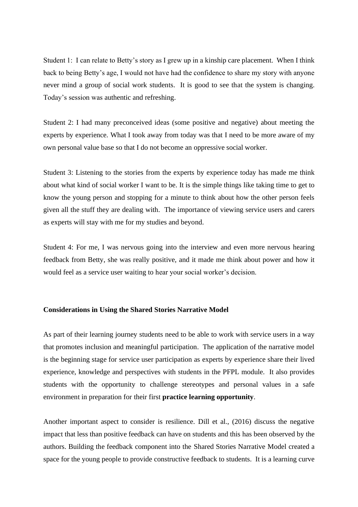Student 1: I can relate to Betty's story as I grew up in a kinship care placement. When I think back to being Betty's age, I would not have had the confidence to share my story with anyone never mind a group of social work students. It is good to see that the system is changing. Today's session was authentic and refreshing.

Student 2: I had many preconceived ideas (some positive and negative) about meeting the experts by experience. What I took away from today was that I need to be more aware of my own personal value base so that I do not become an oppressive social worker.

Student 3: Listening to the stories from the experts by experience today has made me think about what kind of social worker I want to be. It is the simple things like taking time to get to know the young person and stopping for a minute to think about how the other person feels given all the stuff they are dealing with. The importance of viewing service users and carers as experts will stay with me for my studies and beyond.

Student 4: For me, I was nervous going into the interview and even more nervous hearing feedback from Betty, she was really positive, and it made me think about power and how it would feel as a service user waiting to hear your social worker's decision.

#### **Considerations in Using the Shared Stories Narrative Model**

As part of their learning journey students need to be able to work with service users in a way that promotes inclusion and meaningful participation. The application of the narrative model is the beginning stage for service user participation as experts by experience share their lived experience, knowledge and perspectives with students in the PFPL module. It also provides students with the opportunity to challenge stereotypes and personal values in a safe environment in preparation for their first **practice learning opportunity**.

Another important aspect to consider is resilience. Dill et al., (2016) discuss the negative impact that less than positive feedback can have on students and this has been observed by the authors. Building the feedback component into the Shared Stories Narrative Model created a space for the young people to provide constructive feedback to students. It is a learning curve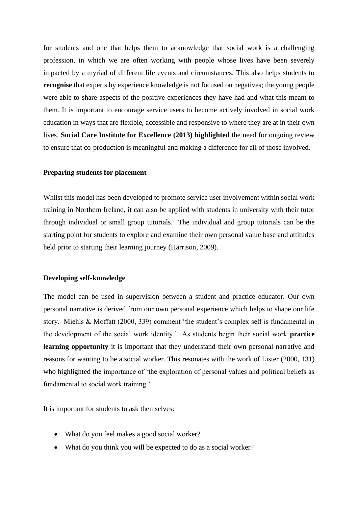for students and one that helps them to acknowledge that social work is a challenging profession, in which we are often working with people whose lives have been severely impacted by a myriad of different life events and circumstances. This also helps students to **recognise** that experts by experience knowledge is not focused on negatives; the young people were able to share aspects of the positive experiences they have had and what this meant to them. It is important to encourage service users to become actively involved in social work education in ways that are flexible, accessible and responsive to where they are at in their own lives. **Social Care Institute for Excellence (2013) highlighted** the need for ongoing review to ensure that co-production is meaningful and making a difference for all of those involved.

#### **Preparing students for placement**

Whilst this model has been developed to promote service user involvement within social work training in Northern Ireland, it can also be applied with students in university with their tutor through individual or small group tutorials. The individual and group tutorials can be the starting point for students to explore and examine their own personal value base and attitudes held prior to starting their learning journey (Harrison, 2009).

#### **Developing self-knowledge**

The model can be used in supervision between a student and practice educator. Our own personal narrative is derived from our own personal experience which helps to shape our life story. Miehls & Moffatt (2000, 339) comment 'the student's complex self is fundamental in the development of the social work identity.' As students begin their social work **practice learning opportunity** it is important that they understand their own personal narrative and reasons for wanting to be a social worker. This resonates with the work of Lister (2000, 131) who highlighted the importance of 'the exploration of personal values and political beliefs as fundamental to social work training.'

It is important for students to ask themselves:

- What do you feel makes a good social worker?
- What do you think you will be expected to do as a social worker?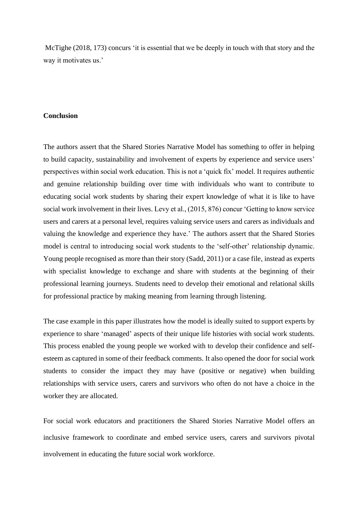McTighe (2018, 173) concurs 'it is essential that we be deeply in touch with that story and the way it motivates us.'

## **Conclusion**

The authors assert that the Shared Stories Narrative Model has something to offer in helping to build capacity, sustainability and involvement of experts by experience and service users' perspectives within social work education. This is not a 'quick fix' model. It requires authentic and genuine relationship building over time with individuals who want to contribute to educating social work students by sharing their expert knowledge of what it is like to have social work involvement in their lives. Levy et al., (2015, 876) concur 'Getting to know service users and carers at a personal level, requires valuing service users and carers as individuals and valuing the knowledge and experience they have.' The authors assert that the Shared Stories model is central to introducing social work students to the 'self-other' relationship dynamic. Young people recognised as more than their story (Sadd, 2011) or a case file, instead as experts with specialist knowledge to exchange and share with students at the beginning of their professional learning journeys. Students need to develop their emotional and relational skills for professional practice by making meaning from learning through listening.

The case example in this paper illustrates how the model is ideally suited to support experts by experience to share 'managed' aspects of their unique life histories with social work students. This process enabled the young people we worked with to develop their confidence and selfesteem as captured in some of their feedback comments. It also opened the door for social work students to consider the impact they may have (positive or negative) when building relationships with service users, carers and survivors who often do not have a choice in the worker they are allocated.

For social work educators and practitioners the Shared Stories Narrative Model offers an inclusive framework to coordinate and embed service users, carers and survivors pivotal involvement in educating the future social work workforce.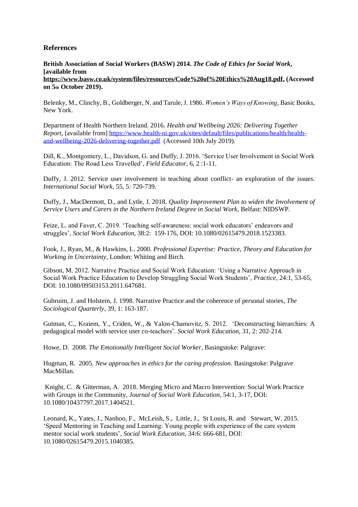## **References**

**British Association of Social Workers (BASW) 2014.** *The Code of Ethics for Social Work***, [available from** 

**[https://www.basw.co.uk/system/files/resources/Code%20of%20Ethics%20Aug18.pdf,](https://www.basw.co.uk/system/files/resources/Code%20of%20Ethics%20Aug18.pdf) (Accessed on 5th October 2019).** 

Belenky, M., Clinchy, B., Goldberger, N. and Tarule, J. 1986. *Women's Ways of Knowing*, Basic Books, New York.

Department of Health Northern Ireland. 2016. *Health and Wellbeing 2026: Delivering Together Report*, [available from] [https://www.health-ni.gov.uk/sites/default/files/publications/health/health](https://www.health-ni.gov.uk/sites/default/files/publications/health/health-and-wellbeing-2026-delivering-together.pdf)[and-wellbeing-2026-delivering-together.pdf](https://www.health-ni.gov.uk/sites/default/files/publications/health/health-and-wellbeing-2026-delivering-together.pdf) (Accessed 10th July 2019).

Dill, K., Montgomery, L., Davidson, G. and Duffy, J. 2016. 'Service User Involvement in Social Work Education: The Road Less Travelled', *Field Educator,* 6, 2 :1-11.

Duffy, J. 2012. Service user involvement in teaching about conflict- an exploration of the issues. *International Social Work*, 55, 5: 720-739.

Duffy, J., MacDermott, D., and Lytle, J. 2018. *Quality Improvement Plan to widen the Involvement of Service Users and Carers in the Northern Ireland Degree in Social Work*, Belfast: NIDSWP.

Feize, L. and Faver, C. 2019. 'Teaching self-awareness: social work educators' endeavors and struggles', *Social Work Education*, 38:2: 159-176, DOI: 10.1080/02615479.2018.1523383.

Fook, J., Ryan, M., & Hawkins, L. 2000. *Professional Expertise: Practice, Theory and Education for Working in Uncertainty*, London: Whiting and Birch.

Gibson, M. 2012. Narrative Practice and Social Work Education: 'Using a Narrative Approach in Social Work Practice Education to Develop Struggling Social Work Students', *Practice*, 24:1, 53-65, DOI: 10.1080/09503153.2011.647681.

Gubruim, J. and Holstein, J. 1998. Narrative Practice and the coherence of personal stories, *The Sociological Quarterly*, 39, 1: 163-187.

Gutman, C., Kraiem, Y., Criden, W., & Yalon-Chamovitz, S. 2012. 'Deconstructing hierarchies: A pedagogical model with service user co-teachers'. *Social Work Education,* 31, 2: 202-214.

Howe, D. 2008. *The Emotionally Intelligent Social Worker,* Basingstoke: Palgrave:

Hugman, R. 2005. *New approaches in ethics for the caring profession.* Basingstoke: Palgrave MacMillan.

Knight, C. & Gitterman, A. 2018. Merging Micro and Macro Intervention: Social Work Practice with Groups in the Community, *Journal of Social Work Education*, 54:1, 3-17, DOI: 10.1080/10437797.2017.1404521.

Leonard, K., Yates, J., Nanhoo, F., McLeish, S., Little, J., St Louis, R. and Stewart, W. 2015. 'Speed Mentoring in Teaching and Learning: Young people with experience of the care system mentor social work students', *Social Work Education,* 34:6: 666-681, DOI: 10.1080/02615479.2015.1040385.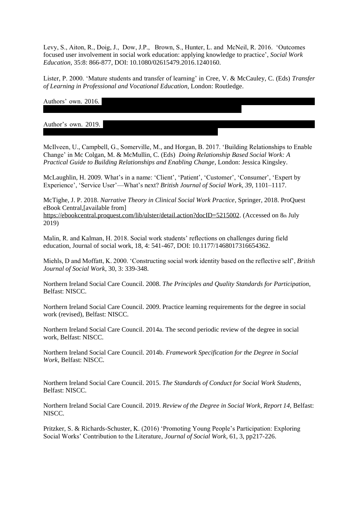Levy, S., Aiton, R., Doig, J., Dow, J.P., Brown, S., Hunter, L. and McNeil, R. 2016. 'Outcomes focused user involvement in social work education: applying knowledge to practice', *Social Work Education,* 35:8: 866-877, DOI: 10.1080/02615479.2016.1240160.

Lister, P. 2000. 'Mature students and transfer of learning' in Cree, V. & McCauley, C. (Eds) *Transfer of Learning in Professional and Vocational Education,* London: Routledge.

Authors' own. 2016.

Author's own. 2019.

McIlveen, U., Campbell, G., Somerville, M., and Horgan, B. 2017. 'Building Relationships to Enable Change' in Mc Colgan, M. & McMullin, C. (Eds) *Doing Relationship Based Social Work: A Practical Guide to Building Relationships and Enabling Change*, London: Jessica Kingsley.

McLaughlin, H. 2009. What's in a name: 'Client', 'Patient', 'Customer', 'Consumer', 'Expert by Experience', 'Service User'—What's next? *British Journal of Social Work, 39*, 1101–1117.

McTighe, J. P. 2018. *Narrative Theory in Clinical Social Work Practice*, Springer, 2018. ProQuest eBook Central,[available from]

[https://ebookcentral.proquest.com/lib/ulster/detail.action?docID=5215002.](https://ebookcentral.proquest.com/lib/ulster/detail.action?docID=5215002) (Accessed on 8th July 2019)

Malin, R. and Kalman, H. 2018. Social work students' reflections on challenges during field education, Journal of social work, 18, 4: 541-467, DOI: 10.1177/1468017316654362.

Miehls, D and Moffatt, K. 2000. 'Constructing social work identity based on the reflective self', *British Journal of Social Work*, 30, 3: 339-348.

Northern Ireland Social Care Council. 2008. *The Principles and Quality Standards for Participation*, Belfast: NISCC.

Northern Ireland Social Care Council. 2009. Practice learning requirements for the degree in social work (revised), Belfast: NISCC.

Northern Ireland Social Care Council. 2014a. The second periodic review of the degree in social work, Belfast: NISCC.

Northern Ireland Social Care Council. 2014b. *Framework Specification for the Degree in Social Work*, Belfast: NISCC.

Northern Ireland Social Care Council. 2015. *The Standards of Conduct for Social Work Students*, Belfast: NISCC.

Northern Ireland Social Care Council. 2019. *Review of the Degree in Social Work, Report 14,* Belfast: NISCC.

Pritzker, S. & Richards-Schuster, K. (2016) 'Promoting Young People's Participation: Exploring Social Works' Contribution to the Literature, *Journal of Social Work,* 61, 3, pp217-226.